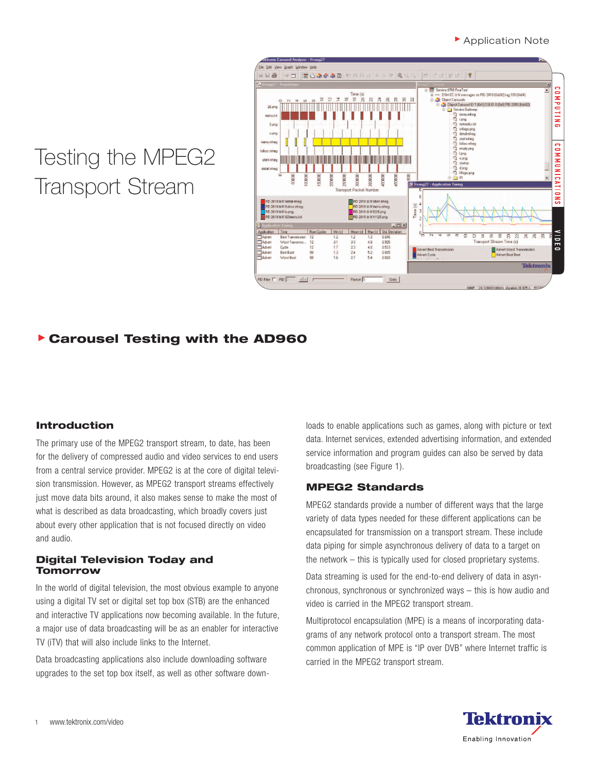#### **Application Note**



# Testing the MPEG2 Transport Stream

## **Carousel Testing with the AD960**

#### **Introduction**

The primary use of the MPEG2 transport stream, to date, has been for the delivery of compressed audio and video services to end users from a central service provider. MPEG2 is at the core of digital television transmission. However, as MPEG2 transport streams effectively just move data bits around, it also makes sense to make the most of what is described as data broadcasting, which broadly covers just about every other application that is not focused directly on video and audio.

#### **Digital Television Today and Tomorrow**

In the world of digital television, the most obvious example to anyone using a digital TV set or digital set top box (STB) are the enhanced and interactive TV applications now becoming available. In the future, a major use of data broadcasting will be as an enabler for interactive TV (iTV) that will also include links to the Internet.

Data broadcasting applications also include downloading software upgrades to the set top box itself, as well as other software downloads to enable applications such as games, along with picture or text data. Internet services, extended advertising information, and extended service information and program guides can also be served by data broadcasting (see Figure 1).

### **MPEG2 Standards**

MPEG2 standards provide a number of different ways that the large variety of data types needed for these different applications can be encapsulated for transmission on a transport stream. These include data piping for simple asynchronous delivery of data to a target on the network – this is typically used for closed proprietary systems.

Data streaming is used for the end-to-end delivery of data in asynchronous, synchronous or synchronized ways – this is how audio and video is carried in the MPEG2 transport stream.

Multiprotocol encapsulation (MPE) is a means of incorporating datagrams of any network protocol onto a transport stream. The most common application of MPE is "IP over DVB" where Internet traffic is carried in the MPEG2 transport stream.

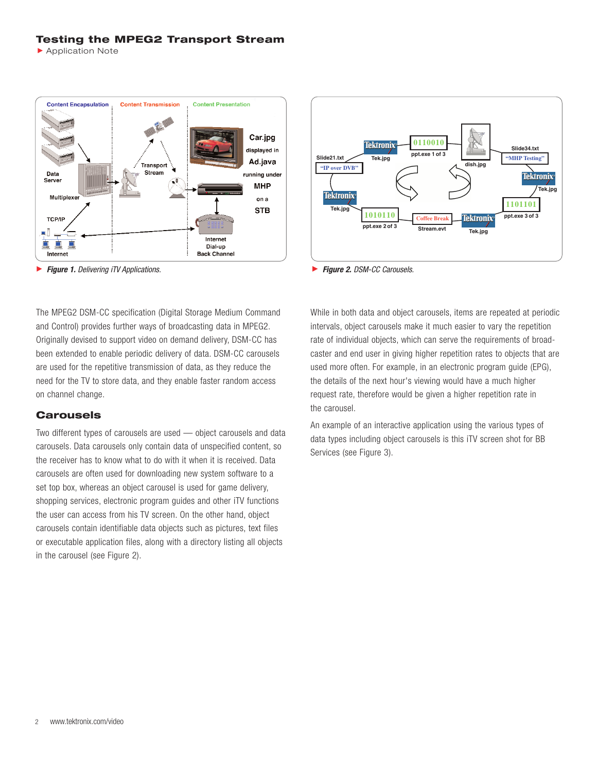#### **Testing the MPEG2 Transport Stream**

▶ Application Note



*Figure 1. Delivering iTV Applications.*



*Figure 2. DSM-CC Carousels.*▶

The MPEG2 DSM-CC specification (Digital Storage Medium Command and Control) provides further ways of broadcasting data in MPEG2. Originally devised to support video on demand delivery, DSM-CC has been extended to enable periodic delivery of data. DSM-CC carousels are used for the repetitive transmission of data, as they reduce the need for the TV to store data, and they enable faster random access on channel change.

#### **Carousels**

Two different types of carousels are used — object carousels and data carousels. Data carousels only contain data of unspecified content, so the receiver has to know what to do with it when it is received. Data carousels are often used for downloading new system software to a set top box, whereas an object carousel is used for game delivery, shopping services, electronic program guides and other iTV functions the user can access from his TV screen. On the other hand, object carousels contain identifiable data objects such as pictures, text files or executable application files, along with a directory listing all objects in the carousel (see Figure 2).

While in both data and object carousels, items are repeated at periodic intervals, object carousels make it much easier to vary the repetition rate of individual objects, which can serve the requirements of broadcaster and end user in giving higher repetition rates to objects that are used more often. For example, in an electronic program guide (EPG), the details of the next hour's viewing would have a much higher request rate, therefore would be given a higher repetition rate in the carousel.

An example of an interactive application using the various types of data types including object carousels is this iTV screen shot for BB Services (see Figure 3).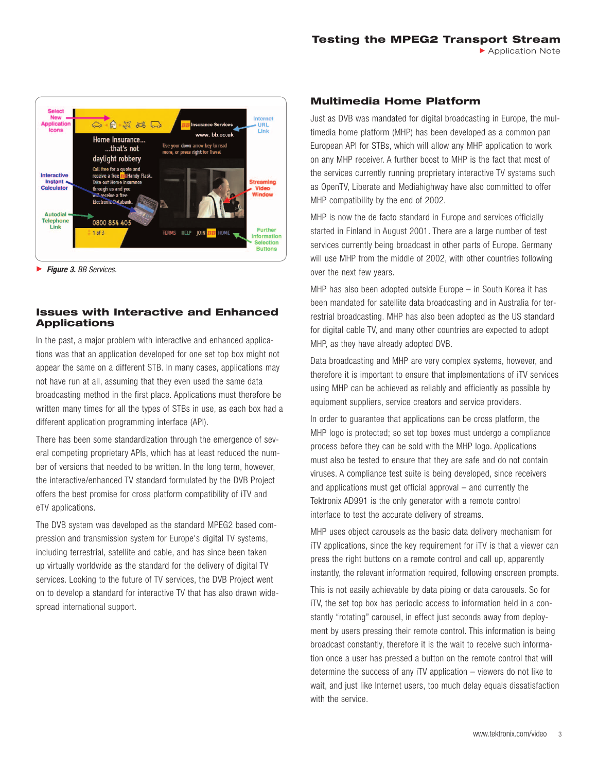

*Figure 3. BB Services.*

#### **Issues with Interactive and Enhanced Applications**

In the past, a major problem with interactive and enhanced applications was that an application developed for one set top box might not appear the same on a different STB. In many cases, applications may not have run at all, assuming that they even used the same data broadcasting method in the first place. Applications must therefore be written many times for all the types of STBs in use, as each box had a different application programming interface (API).

There has been some standardization through the emergence of several competing proprietary APIs, which has at least reduced the number of versions that needed to be written. In the long term, however, the interactive/enhanced TV standard formulated by the DVB Project offers the best promise for cross platform compatibility of iTV and eTV applications.

The DVB system was developed as the standard MPEG2 based compression and transmission system for Europe's digital TV systems, including terrestrial, satellite and cable, and has since been taken up virtually worldwide as the standard for the delivery of digital TV services. Looking to the future of TV services, the DVB Project went on to develop a standard for interactive TV that has also drawn widespread international support.

#### **Multimedia Home Platform**

Just as DVB was mandated for digital broadcasting in Europe, the multimedia home platform (MHP) has been developed as a common pan European API for STBs, which will allow any MHP application to work on any MHP receiver. A further boost to MHP is the fact that most of the services currently running proprietary interactive TV systems such as OpenTV, Liberate and Mediahighway have also committed to offer MHP compatibility by the end of 2002.

MHP is now the de facto standard in Europe and services officially started in Finland in August 2001. There are a large number of test services currently being broadcast in other parts of Europe. Germany will use MHP from the middle of 2002, with other countries following over the next few years.

MHP has also been adopted outside Europe – in South Korea it has been mandated for satellite data broadcasting and in Australia for terrestrial broadcasting. MHP has also been adopted as the US standard for digital cable TV, and many other countries are expected to adopt MHP, as they have already adopted DVB.

Data broadcasting and MHP are very complex systems, however, and therefore it is important to ensure that implementations of iTV services using MHP can be achieved as reliably and efficiently as possible by equipment suppliers, service creators and service providers.

In order to guarantee that applications can be cross platform, the MHP logo is protected; so set top boxes must undergo a compliance process before they can be sold with the MHP logo. Applications must also be tested to ensure that they are safe and do not contain viruses. A compliance test suite is being developed, since receivers and applications must get official approval – and currently the Tektronix AD991 is the only generator with a remote control interface to test the accurate delivery of streams.

MHP uses object carousels as the basic data delivery mechanism for iTV applications, since the key requirement for iTV is that a viewer can press the right buttons on a remote control and call up, apparently instantly, the relevant information required, following onscreen prompts.

This is not easily achievable by data piping or data carousels. So for iTV, the set top box has periodic access to information held in a constantly "rotating" carousel, in effect just seconds away from deployment by users pressing their remote control. This information is being broadcast constantly, therefore it is the wait to receive such information once a user has pressed a button on the remote control that will determine the success of any iTV application – viewers do not like to wait, and just like Internet users, too much delay equals dissatisfaction with the service.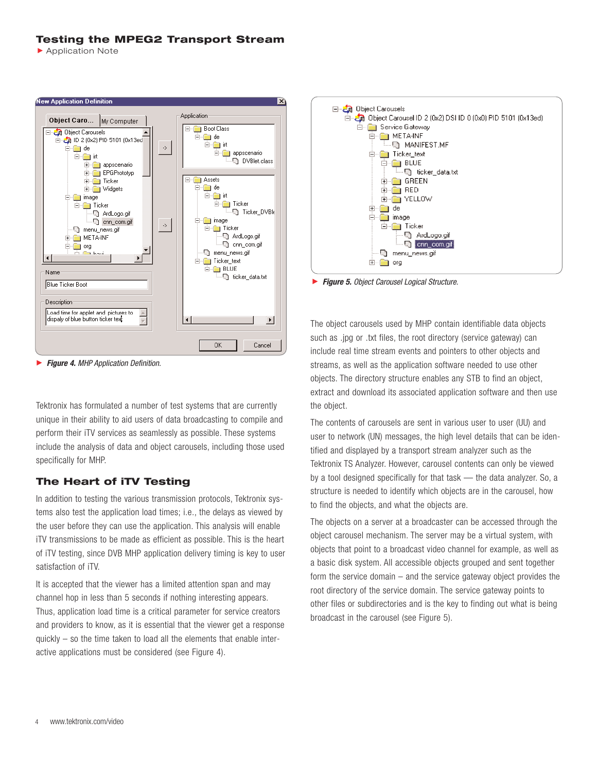#### **Testing the MPEG2 Transport Stream**

▶ Application Note



*Figure 4. MHP Application Definition.*

Tektronix has formulated a number of test systems that are currently unique in their ability to aid users of data broadcasting to compile and perform their iTV services as seamlessly as possible. These systems include the analysis of data and object carousels, including those used specifically for MHP.

#### **The Heart of iTV Testing**

In addition to testing the various transmission protocols, Tektronix systems also test the application load times; i.e., the delays as viewed by the user before they can use the application. This analysis will enable iTV transmissions to be made as efficient as possible. This is the heart of iTV testing, since DVB MHP application delivery timing is key to user satisfaction of iTV.

It is accepted that the viewer has a limited attention span and may channel hop in less than 5 seconds if nothing interesting appears. Thus, application load time is a critical parameter for service creators and providers to know, as it is essential that the viewer get a response quickly – so the time taken to load all the elements that enable interactive applications must be considered (see Figure 4).



*Figure 5. Object Carousel Logical Structure.*

The object carousels used by MHP contain identifiable data objects such as .jpg or .txt files, the root directory (service gateway) can include real time stream events and pointers to other objects and streams, as well as the application software needed to use other objects. The directory structure enables any STB to find an object, extract and download its associated application software and then use the object.

The contents of carousels are sent in various user to user (UU) and user to network (UN) messages, the high level details that can be identified and displayed by a transport stream analyzer such as the Tektronix TS Analyzer. However, carousel contents can only be viewed by a tool designed specifically for that task — the data analyzer. So, a structure is needed to identify which objects are in the carousel, how to find the objects, and what the objects are.

The objects on a server at a broadcaster can be accessed through the object carousel mechanism. The server may be a virtual system, with objects that point to a broadcast video channel for example, as well as a basic disk system. All accessible objects grouped and sent together form the service domain – and the service gateway object provides the root directory of the service domain. The service gateway points to other files or subdirectories and is the key to finding out what is being broadcast in the carousel (see Figure 5).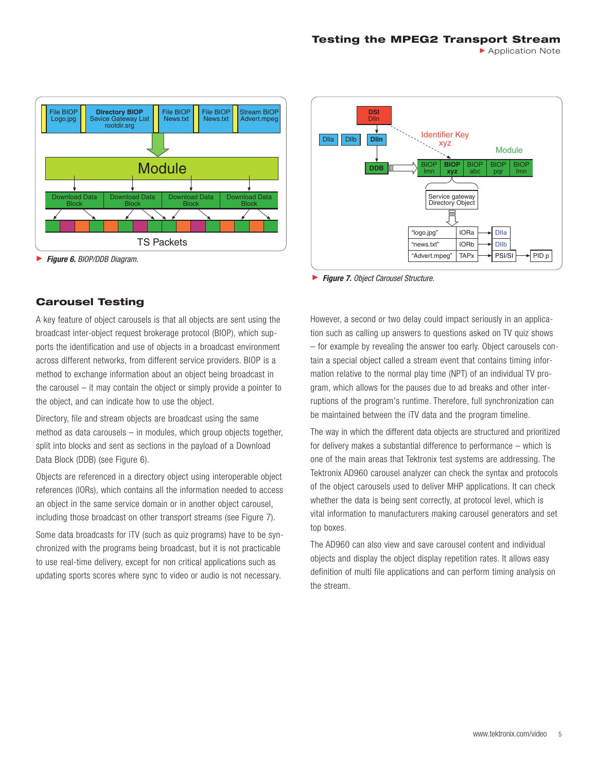





*Figure 7. Object Carousel Structure.*

#### **Carousel Testing**

A key feature of object carousels is that all objects are sent using the broadcast inter-object request brokerage protocol (BIOP), which supports the identification and use of objects in a broadcast environment across different networks, from different service providers. BIOP is a method to exchange information about an object being broadcast in the carousel – it may contain the object or simply provide a pointer to the object, and can indicate how to use the object.

Directory, file and stream objects are broadcast using the same method as data carousels – in modules, which group objects together, split into blocks and sent as sections in the payload of a Download Data Block (DDB) (see Figure 6).

Objects are referenced in a directory object using interoperable object references (IORs), which contains all the information needed to access an object in the same service domain or in another object carousel, including those broadcast on other transport streams (see Figure 7).

Some data broadcasts for iTV (such as quiz programs) have to be synchronized with the programs being broadcast, but it is not practicable to use real-time delivery, except for non critical applications such as updating sports scores where sync to video or audio is not necessary.

However, a second or two delay could impact seriously in an application such as calling up answers to questions asked on TV quiz shows – for example by revealing the answer too early. Object carousels contain a special object called a stream event that contains timing information relative to the normal play time (NPT) of an individual TV program, which allows for the pauses due to ad breaks and other interruptions of the program's runtime. Therefore, full synchronization can be maintained between the iTV data and the program timeline.

The way in which the different data objects are structured and prioritized for delivery makes a substantial difference to performance – which is one of the main areas that Tektronix test systems are addressing. The Tektronix AD960 carousel analyzer can check the syntax and protocols of the object carousels used to deliver MHP applications. It can check whether the data is being sent correctly, at protocol level, which is vital information to manufacturers making carousel generators and set top boxes.

The AD960 can also view and save carousel content and individual objects and display the object display repetition rates. It allows easy definition of multi file applications and can perform timing analysis on the stream.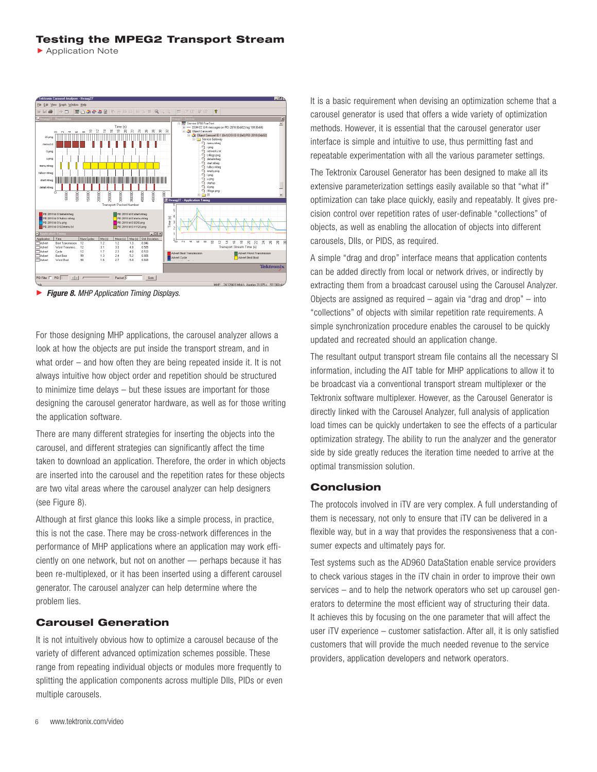▶ Application Note



*Figure 8. MHP Application Timing Displays.*

For those designing MHP applications, the carousel analyzer allows a look at how the objects are put inside the transport stream, and in what order – and how often they are being repeated inside it. It is not always intuitive how object order and repetition should be structured to minimize time delays – but these issues are important for those designing the carousel generator hardware, as well as for those writing the application software.

There are many different strategies for inserting the objects into the carousel, and different strategies can significantly affect the time taken to download an application. Therefore, the order in which objects are inserted into the carousel and the repetition rates for these objects are two vital areas where the carousel analyzer can help designers (see Figure 8).

Although at first glance this looks like a simple process, in practice, this is not the case. There may be cross-network differences in the performance of MHP applications where an application may work efficiently on one network, but not on another — perhaps because it has been re-multiplexed, or it has been inserted using a different carousel generator. The carousel analyzer can help determine where the problem lies.

### **Carousel Generation**

It is not intuitively obvious how to optimize a carousel because of the variety of different advanced optimization schemes possible. These range from repeating individual objects or modules more frequently to splitting the application components across multiple DIIs, PIDs or even multiple carousels.

It is a basic requirement when devising an optimization scheme that a carousel generator is used that offers a wide variety of optimization methods. However, it is essential that the carousel generator user interface is simple and intuitive to use, thus permitting fast and repeatable experimentation with all the various parameter settings.

The Tektronix Carousel Generator has been designed to make all its extensive parameterization settings easily available so that "what if" optimization can take place quickly, easily and repeatably. It gives precision control over repetition rates of user-definable "collections" of objects, as well as enabling the allocation of objects into different carousels, DIIs, or PIDS, as required.

A simple "drag and drop" interface means that application contents can be added directly from local or network drives, or indirectly by extracting them from a broadcast carousel using the Carousel Analyzer. Objects are assigned as required – again via "drag and drop" – into "collections" of objects with similar repetition rate requirements. A simple synchronization procedure enables the carousel to be quickly updated and recreated should an application change.

The resultant output transport stream file contains all the necessary SI information, including the AIT table for MHP applications to allow it to be broadcast via a conventional transport stream multiplexer or the Tektronix software multiplexer. However, as the Carousel Generator is directly linked with the Carousel Analyzer, full analysis of application load times can be quickly undertaken to see the effects of a particular optimization strategy. The ability to run the analyzer and the generator side by side greatly reduces the iteration time needed to arrive at the optimal transmission solution.

#### **Conclusion**

The protocols involved in iTV are very complex. A full understanding of them is necessary, not only to ensure that iTV can be delivered in a flexible way, but in a way that provides the responsiveness that a consumer expects and ultimately pays for.

Test systems such as the AD960 DataStation enable service providers to check various stages in the iTV chain in order to improve their own services – and to help the network operators who set up carousel generators to determine the most efficient way of structuring their data. It achieves this by focusing on the one parameter that will affect the user iTV experience – customer satisfaction. After all, it is only satisfied customers that will provide the much needed revenue to the service providers, application developers and network operators.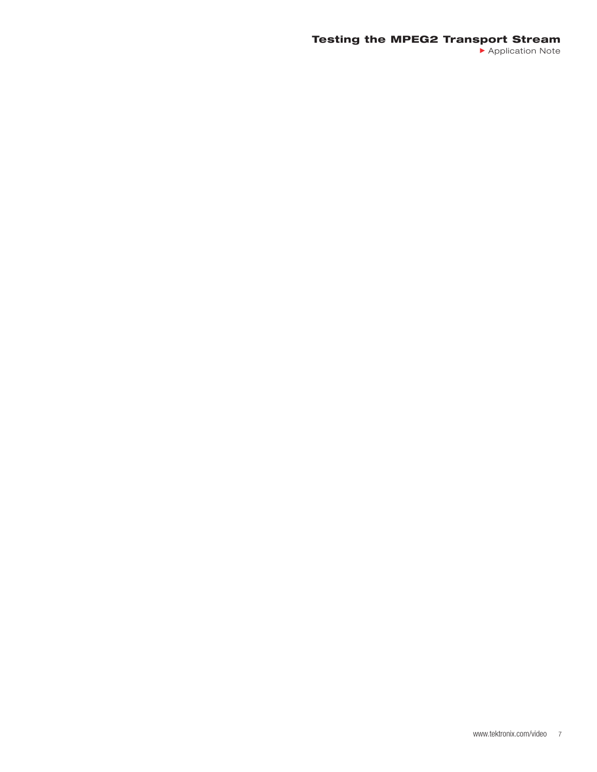#### **Testing the MPEG2 Transport Stream** ▶ Application Note